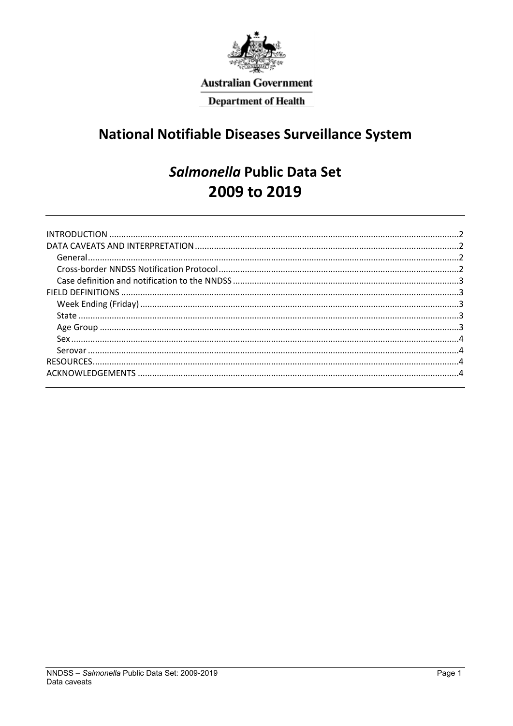

**Australian Government** 

**Department of Health** 

# **National Notifiable Diseases Surveillance System**

# Salmonella Public Data Set 2009 to 2019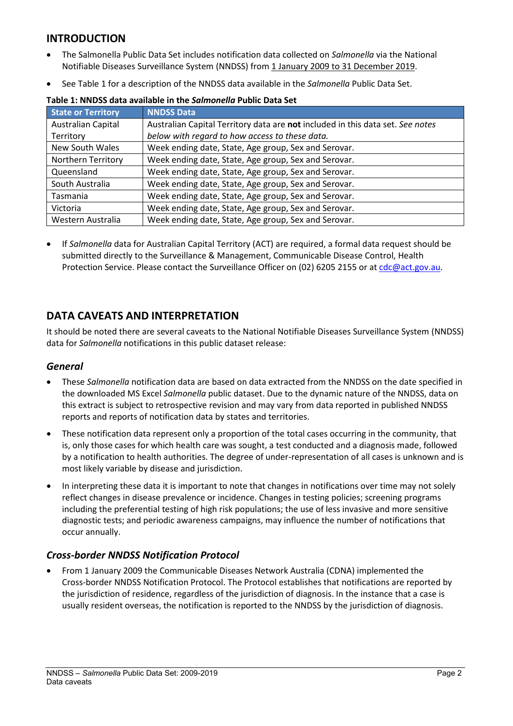## <span id="page-1-0"></span>**INTRODUCTION**

- The Salmonella Public Data Set includes notification data collected on *Salmonella* via the National Notifiable Diseases Surveillance System (NNDSS) from 1 January 2009 to 31 December 2019.
- See Table 1 for a description of the NNDSS data available in the *Salmonella* Public Data Set.

| <b>State or Territory</b> | <b>NNDSS Data</b>                                                              |
|---------------------------|--------------------------------------------------------------------------------|
| Australian Capital        | Australian Capital Territory data are not included in this data set. See notes |
| Territory                 | below with regard to how access to these data.                                 |
| New South Wales           | Week ending date, State, Age group, Sex and Serovar.                           |
| Northern Territory        | Week ending date, State, Age group, Sex and Serovar.                           |
| Queensland                | Week ending date, State, Age group, Sex and Serovar.                           |
| South Australia           | Week ending date, State, Age group, Sex and Serovar.                           |
| Tasmania                  | Week ending date, State, Age group, Sex and Serovar.                           |
| Victoria                  | Week ending date, State, Age group, Sex and Serovar.                           |
| Western Australia         | Week ending date, State, Age group, Sex and Serovar.                           |

**Table 1: NNDSS data available in the** *Salmonella* **Public Data Set**

• If *Salmonella* data for Australian Capital Territory (ACT) are required, a formal data request should be submitted directly to the Surveillance & Management, Communicable Disease Control, Health Protection Service. Please contact the Surveillance Officer on (02) 6205 2155 or at [cdc@act.gov.au.](mailto:cdc@act.gov.au)

## <span id="page-1-1"></span>**DATA CAVEATS AND INTERPRETATION**

It should be noted there are several caveats to the National Notifiable Diseases Surveillance System (NNDSS) data for *Salmonella* notifications in this public dataset release:

#### <span id="page-1-2"></span>*General*

- These *Salmonella* notification data are based on data extracted from the NNDSS on the date specified in the downloaded MS Excel *Salmonella* public dataset. Due to the dynamic nature of the NNDSS, data on this extract is subject to retrospective revision and may vary from data reported in published NNDSS reports and reports of notification data by states and territories.
- These notification data represent only a proportion of the total cases occurring in the community, that is, only those cases for which health care was sought, a test conducted and a diagnosis made, followed by a notification to health authorities. The degree of under-representation of all cases is unknown and is most likely variable by disease and jurisdiction.
- In interpreting these data it is important to note that changes in notifications over time may not solely reflect changes in disease prevalence or incidence. Changes in testing policies; screening programs including the preferential testing of high risk populations; the use of less invasive and more sensitive diagnostic tests; and periodic awareness campaigns, may influence the number of notifications that occur annually.

## <span id="page-1-3"></span>*Cross-border NNDSS Notification Protocol*

• From 1 January 2009 the Communicable Diseases Network Australia (CDNA) implemented the Cross-border NNDSS Notification Protocol. The Protocol establishes that notifications are reported by the jurisdiction of residence, regardless of the jurisdiction of diagnosis. In the instance that a case is usually resident overseas, the notification is reported to the NNDSS by the jurisdiction of diagnosis.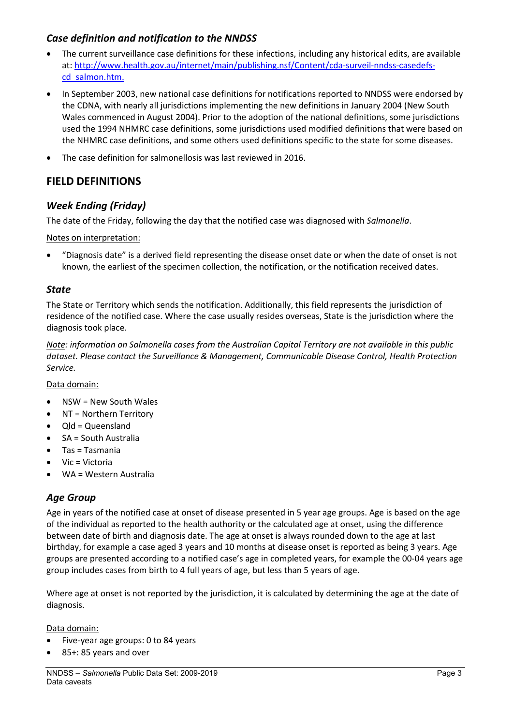#### <span id="page-2-0"></span>*Case definition and notification to the NNDSS*

- The current surveillance case definitions for these infections, including any historical edits, are available at: [http://www.health.gov.au/internet/main/publishing.nsf/Content/cda-surveil-nndss-casedefs](http://www.health.gov.au/internet/main/publishing.nsf/Content/cda-surveil-nndss-casedefs-cd_salmon.htm)[cd\\_salmon.htm.](http://www.health.gov.au/internet/main/publishing.nsf/Content/cda-surveil-nndss-casedefs-cd_salmon.htm)
- In September 2003, new national case definitions for notifications reported to NNDSS were endorsed by the CDNA, with nearly all jurisdictions implementing the new definitions in January 2004 (New South Wales commenced in August 2004). Prior to the adoption of the national definitions, some jurisdictions used the 1994 NHMRC case definitions, some jurisdictions used modified definitions that were based on the NHMRC case definitions, and some others used definitions specific to the state for some diseases.
- The case definition for salmonellosis was last reviewed in 2016.

## <span id="page-2-1"></span>**FIELD DEFINITIONS**

### <span id="page-2-2"></span>*Week Ending (Friday)*

The date of the Friday, following the day that the notified case was diagnosed with *Salmonella*.

Notes on interpretation:

• "Diagnosis date" is a derived field representing the disease onset date or when the date of onset is not known, the earliest of the specimen collection, the notification, or the notification received dates.

#### <span id="page-2-3"></span>*State*

The State or Territory which sends the notification. Additionally, this field represents the jurisdiction of residence of the notified case. Where the case usually resides overseas, State is the jurisdiction where the diagnosis took place.

*Note: information on Salmonella cases from the Australian Capital Territory are not available in this public dataset. Please contact the Surveillance & Management, Communicable Disease Control, Health Protection Service.*

Data domain:

- NSW = New South Wales
- NT = Northern Territory
- Qld = Queensland
- SA = South Australia
- Tas = Tasmania
- Vic = Victoria
- <span id="page-2-4"></span>• WA = Western Australia

#### *Age Group*

Age in years of the notified case at onset of disease presented in 5 year age groups. Age is based on the age of the individual as reported to the health authority or the calculated age at onset, using the difference between date of birth and diagnosis date. The age at onset is always rounded down to the age at last birthday, for example a case aged 3 years and 10 months at disease onset is reported as being 3 years. Age groups are presented according to a notified case's age in completed years, for example the 00-04 years age group includes cases from birth to 4 full years of age, but less than 5 years of age.

Where age at onset is not reported by the jurisdiction, it is calculated by determining the age at the date of diagnosis.

#### Data domain:

- Five-year age groups: 0 to 84 years
- 85+: 85 years and over